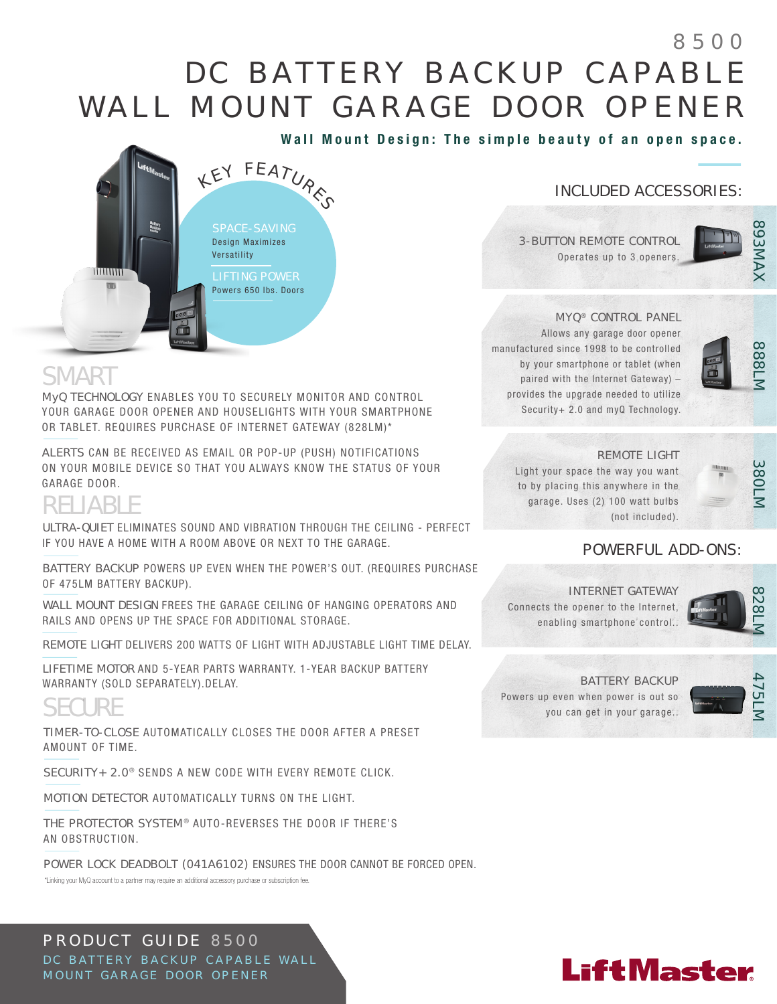## D C B A T T E R Y B A C K U P C A P A B L E WALL MOUNT GARAGE DOOR OPENER 8500

Wall Mount Design: The simple beauty of an open space.

### INCLUDED ACCESSORIES:

3-BUTTON REMOTE CONTROL Operates up to 3 openers.



#### **MYQ<sup>®</sup> CONTROL PANEL**

Allows any garage door opener manufactured since 1998 to be controlled by your smartphone or tablet (when paired with the Internet Gateway) – provides the upgrade needed to utilize Security+ 2.0 and myQ Technology.



### REMOTE LIGHT

Light your space the way you want to by placing this anywhere in the garage. Uses (2) 100 watt bulbs (not included).



### POWERFUL ADD-ONS:

INTERNET GATEWAY Connects the opener to the Internet, enabling smartphone control..



BATTERY BACKUP Powers up even when power is out so

you can get in your garage..



# **SMART**

muun

MyQ TECHNOLOGY ENABLES YOU TO SECURELY MONITOR AND CONTROL YOUR GARAGE DOOR OPENER AND HOUSELIGHTS WITH YOUR SMARTPHONE OR TABLET. REQUIRES PURCHASE OF INTERNET GATEWAY (828LM)\*

 $\bm{\psi}$ 

Battery<br>Backup

LEY FEATURES

SPACE-SAVING Design Maximizes **Versatility** 

LIFTING POWER Powers 650 lbs. Doors

ALERTS CAN BE RECEIVED AS EMAIL OR POP-UP (PUSH) NOTIFICATIONS ON YOUR MOBILE DEVICE SO THAT YOU ALWAYS KNOW THE STATUS OF YOUR GARAGE DOOR.

### RELIABLE

ULTRA-QUIET ELIMINATES SOUND AND VIBRATION THROUGH THE CEILING - PERFECT IF YOU HAVE A HOME WITH A ROOM ABOVE OR NEXT TO THE GARAGE.

BATTERY BACKUP POWERS UP EVEN WHEN THE POWER'S OUT. (REQUIRES PURCHASE OF 475LM BATTERY BACKUP).

WALL MOUNT DESIGN FREES THE GARAGE CEILING OF HANGING OPERATORS AND RAILS AND OPENS UP THE SPACE FOR ADDITIONAL STORAGE.

REMOTE LIGHT DELIVERS 200 WATTS OF LIGHT WITH ADJUSTABLE LIGHT TIME DELAY.

LIFETIME MOTOR AND 5-YEAR PARTS WARRANTY. 1-YEAR BACKUP BATTERY WARRANTY (SOLD SEPARATELY).DELAY.

### **SECURE**

TIMER-TO-CLOSE AUTOMATICALLY CLOSES THE DOOR AFTER A PRESET AMOUNT OF TIME.

SECURITY+ 2.0<sup>®</sup> SENDS A NEW CODE WITH EVERY REMOTE CLICK.

MOTION DETECTOR AUTOMATICALLY TURNS ON THE LIGHT.

THE PROTECTOR SYSTEM<sup>®</sup> AUTO-REVERSES THE DOOR IF THERE'S AN OBSTRUCTION.

POWER LOCK DEADBOLT (041A6102) ENSURES THE DOOR CANNOT BE FORCED OPEN.

\*Linking your MyQ account to a partner may require an additional accessory purchase or subscription fee.

### PRODUCT GUIDE 8500 DC BATTERY BACKUP CAPABLE WALL MOUNT GARAGE DOOR OPENER

### **LiftMaster**